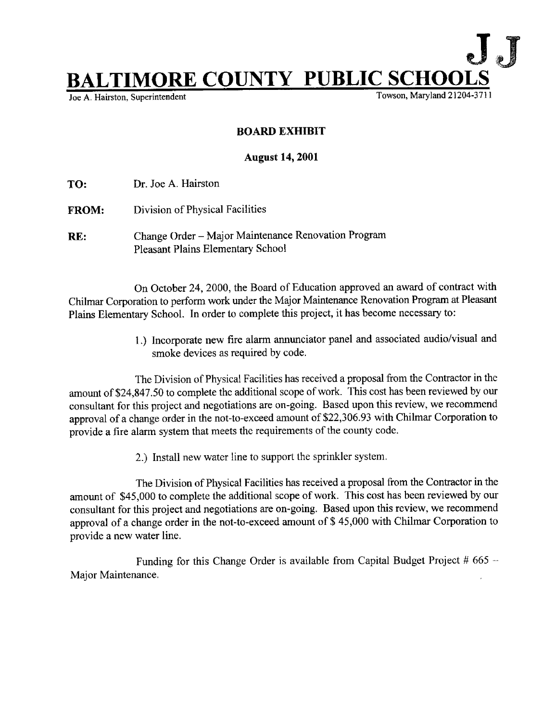

Joe A. Hairston, Superintendent

## BOARD EXHIBIT

## August 14, 2001

TO: Dr. Joe A. Hairston

- FROM: Division of Physical Facilities
- RE: Change Order Major Maintenance Renovation Program Pleasant Plains Elementary School

On October 24, 2000, the Board of Education approved an award of contract with Chilmar Corporation to perform work under the Major Maintenance Renovation Program at Pleasant Plains Elementary School. In order to complete this project, it has become necessary to:

> <sup>1</sup> .) Incorporate new fire alarm annunciator panel and associated audio/visual and smoke devices as required by code.

The Division of Physical Facilities has received a proposal from the Contractor in the amount of \$24,\$47.50 to complete the additional scope of work. This cost has been reviewed by our consultant for this project and negotiations are on-going. Based upon this review, we recommend approval of a change order in the not-to-exceed amount of \$22,306.93 with Chilmar Corporation to provide a fire alarm system that meets the requirements of the county code.

2.) Install new water line to support the sprinkler system .

The Division of Physical Facilities has received a proposal from the Contractor in the amount of \$45,000 to complete the additional scope of work. This cost has been reviewed by our consultant for this project and negotiations are on-going. Based upon this review, we recommend approval of a change order in the not-to-exceed amount of \$ 45,000 with Chilmar Corporation to provide a new water line.

Funding for this Change Order is available from Capital Budget Project  $#665 -$ Major Maintenance.